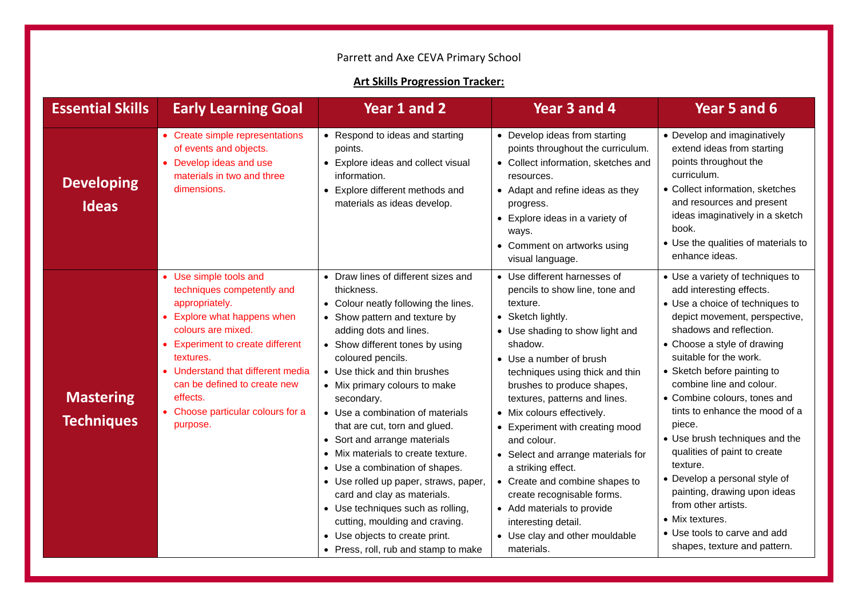## Parrett and Axe CEVA Primary School

## **Art Skills Progression Tracker:**

| <b>Essential Skills</b>               | <b>Early Learning Goal</b>                                                                                                                                                                                                                                                                                                     | Year 1 and 2                                                                                                                                                                                                                                                                                                                                                                                                                                                                                                                                                                                                                                                                                      | Year 3 and 4                                                                                                                                                                                                                                                                                                                                                                                                                                                                                                                                                                                | Year 5 and 6                                                                                                                                                                                                                                                                                                                                                                                                                                                                                                                                                                                                         |
|---------------------------------------|--------------------------------------------------------------------------------------------------------------------------------------------------------------------------------------------------------------------------------------------------------------------------------------------------------------------------------|---------------------------------------------------------------------------------------------------------------------------------------------------------------------------------------------------------------------------------------------------------------------------------------------------------------------------------------------------------------------------------------------------------------------------------------------------------------------------------------------------------------------------------------------------------------------------------------------------------------------------------------------------------------------------------------------------|---------------------------------------------------------------------------------------------------------------------------------------------------------------------------------------------------------------------------------------------------------------------------------------------------------------------------------------------------------------------------------------------------------------------------------------------------------------------------------------------------------------------------------------------------------------------------------------------|----------------------------------------------------------------------------------------------------------------------------------------------------------------------------------------------------------------------------------------------------------------------------------------------------------------------------------------------------------------------------------------------------------------------------------------------------------------------------------------------------------------------------------------------------------------------------------------------------------------------|
| <b>Developing</b><br><b>Ideas</b>     | • Create simple representations<br>of events and objects.<br>• Develop ideas and use<br>materials in two and three<br>dimensions.                                                                                                                                                                                              | • Respond to ideas and starting<br>points.<br>• Explore ideas and collect visual<br>information.<br>• Explore different methods and<br>materials as ideas develop.                                                                                                                                                                                                                                                                                                                                                                                                                                                                                                                                | • Develop ideas from starting<br>points throughout the curriculum.<br>• Collect information, sketches and<br>resources.<br>• Adapt and refine ideas as they<br>progress.<br>• Explore ideas in a variety of<br>ways.<br>• Comment on artworks using<br>visual language.                                                                                                                                                                                                                                                                                                                     | • Develop and imaginatively<br>extend ideas from starting<br>points throughout the<br>curriculum.<br>• Collect information, sketches<br>and resources and present<br>ideas imaginatively in a sketch<br>book.<br>• Use the qualities of materials to<br>enhance ideas.                                                                                                                                                                                                                                                                                                                                               |
| <b>Mastering</b><br><b>Techniques</b> | • Use simple tools and<br>techniques competently and<br>appropriately.<br>Explore what happens when<br>$\bullet$<br>colours are mixed.<br><b>Experiment to create different</b><br>textures.<br>• Understand that different media<br>can be defined to create new<br>effects.<br>• Choose particular colours for a<br>purpose. | • Draw lines of different sizes and<br>thickness.<br>• Colour neatly following the lines.<br>• Show pattern and texture by<br>adding dots and lines.<br>• Show different tones by using<br>coloured pencils.<br>• Use thick and thin brushes<br>• Mix primary colours to make<br>secondary.<br>• Use a combination of materials<br>that are cut, torn and glued.<br>• Sort and arrange materials<br>• Mix materials to create texture.<br>• Use a combination of shapes.<br>• Use rolled up paper, straws, paper,<br>card and clay as materials.<br>• Use techniques such as rolling,<br>cutting, moulding and craving.<br>• Use objects to create print.<br>• Press, roll, rub and stamp to make | • Use different harnesses of<br>pencils to show line, tone and<br>texture.<br>• Sketch lightly.<br>• Use shading to show light and<br>shadow.<br>• Use a number of brush<br>techniques using thick and thin<br>brushes to produce shapes,<br>textures, patterns and lines.<br>• Mix colours effectively.<br>• Experiment with creating mood<br>and colour.<br>• Select and arrange materials for<br>a striking effect.<br>• Create and combine shapes to<br>create recognisable forms.<br>• Add materials to provide<br>interesting detail.<br>• Use clay and other mouldable<br>materials. | • Use a variety of techniques to<br>add interesting effects.<br>• Use a choice of techniques to<br>depict movement, perspective,<br>shadows and reflection.<br>• Choose a style of drawing<br>suitable for the work.<br>• Sketch before painting to<br>combine line and colour.<br>• Combine colours, tones and<br>tints to enhance the mood of a<br>piece.<br>• Use brush techniques and the<br>qualities of paint to create<br>texture.<br>• Develop a personal style of<br>painting, drawing upon ideas<br>from other artists.<br>• Mix textures.<br>• Use tools to carve and add<br>shapes, texture and pattern. |